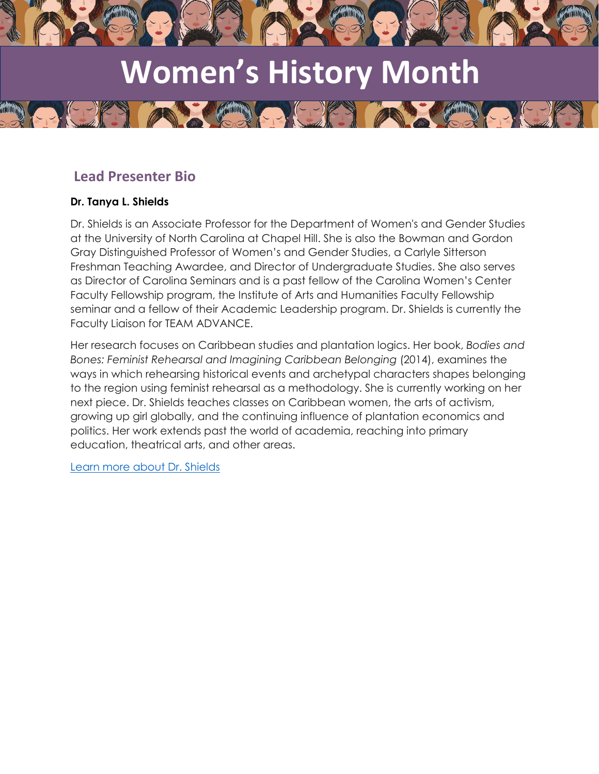

# **Women's History Month**

 $(-\gamma)$ 

## **Lead Presenter Bio**

### **Dr. Tanya L. Shields**

Dr. Shields is an Associate Professor for the Department of Women's and Gender Studies at the University of North Carolina at Chapel Hill. She is also the Bowman and Gordon Gray Distinguished Professor of Women's and Gender Studies, a Carlyle Sitterson Freshman Teaching Awardee, and Director of Undergraduate Studies. She also serves as Director of Carolina Seminars and is a past fellow of the Carolina Women's Center Faculty Fellowship program, the Institute of Arts and Humanities Faculty Fellowship seminar and a fellow of their Academic Leadership program. Dr. Shields is currently the Faculty Liaison for TEAM ADVANCE.

Her research focuses on Caribbean studies and plantation logics. Her book, *Bodies and Bones: Feminist Rehearsal and Imagining Caribbean Belonging* (2014), examines the ways in which rehearsing historical events and archetypal characters shapes belonging to the region using feminist rehearsal as a methodology. She is currently working on her next piece. Dr. Shields teaches classes on Caribbean women, the arts of activism, growing up girl globally, and the continuing influence of plantation economics and politics. Her work extends past the world of academia, reaching into primary education, theatrical arts, and other areas.

[Learn more about Dr. Shields](https://isa.unc.edu/faculty-members/tanya-shields/)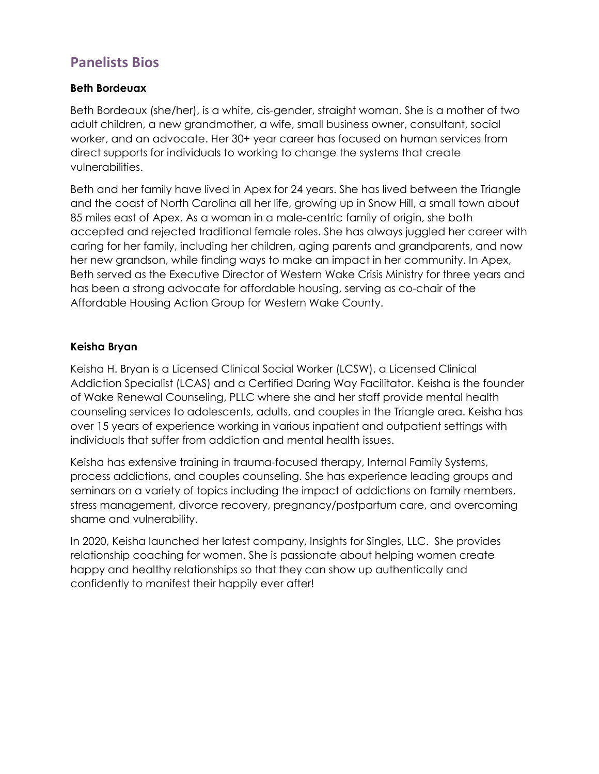# **Panelists Bios**

#### **Beth Bordeuax**

Beth Bordeaux (she/her), is a white, cis-gender, straight woman. She is a mother of two adult children, a new grandmother, a wife, small business owner, consultant, social worker, and an advocate. Her 30+ year career has focused on human services from direct supports for individuals to working to change the systems that create vulnerabilities.

Beth and her family have lived in Apex for 24 years. She has lived between the Triangle and the coast of North Carolina all her life, growing up in Snow Hill, a small town about 85 miles east of Apex. As a woman in a male-centric family of origin, she both accepted and rejected traditional female roles. She has always juggled her career with caring for her family, including her children, aging parents and grandparents, and now her new grandson, while finding ways to make an impact in her community. In Apex, Beth served as the Executive Director of Western Wake Crisis Ministry for three years and has been a strong advocate for affordable housing, serving as co-chair of the Affordable Housing Action Group for Western Wake County.

#### **Keisha Bryan**

Keisha H. Bryan is a Licensed Clinical Social Worker (LCSW), a Licensed Clinical Addiction Specialist (LCAS) and a Certified Daring Way Facilitator. Keisha is the founder of Wake Renewal Counseling, PLLC where she and her staff provide mental health counseling services to adolescents, adults, and couples in the Triangle area. Keisha has over 15 years of experience working in various inpatient and outpatient settings with individuals that suffer from addiction and mental health issues.

Keisha has extensive training in trauma-focused therapy, Internal Family Systems, process addictions, and couples counseling. She has experience leading groups and seminars on a variety of topics including the impact of addictions on family members, stress management, divorce recovery, pregnancy/postpartum care, and overcoming shame and vulnerability.

In 2020, Keisha launched her latest company, Insights for Singles, LLC. She provides relationship coaching for women. She is passionate about helping women create happy and healthy relationships so that they can show up authentically and confidently to manifest their happily ever after!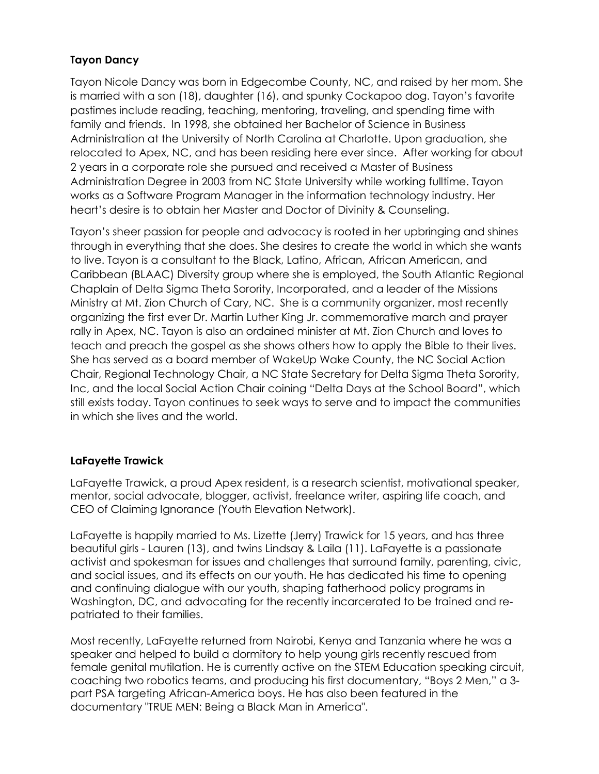## **Tayon Dancy**

Tayon Nicole Dancy was born in Edgecombe County, NC, and raised by her mom. She is married with a son (18), daughter (16), and spunky Cockapoo dog. Tayon's favorite pastimes include reading, teaching, mentoring, traveling, and spending time with family and friends. In 1998, she obtained her Bachelor of Science in Business Administration at the University of North Carolina at Charlotte. Upon graduation, she relocated to Apex, NC, and has been residing here ever since. After working for about 2 years in a corporate role she pursued and received a Master of Business Administration Degree in 2003 from NC State University while working fulltime. Tayon works as a Software Program Manager in the information technology industry. Her heart's desire is to obtain her Master and Doctor of Divinity & Counseling.

Tayon's sheer passion for people and advocacy is rooted in her upbringing and shines through in everything that she does. She desires to create the world in which she wants to live. Tayon is a consultant to the Black, Latino, African, African American, and Caribbean (BLAAC) Diversity group where she is employed, the South Atlantic Regional Chaplain of Delta Sigma Theta Sorority, Incorporated, and a leader of the Missions Ministry at Mt. Zion Church of Cary, NC. She is a community organizer, most recently organizing the first ever Dr. Martin Luther King Jr. commemorative march and prayer rally in Apex, NC. Tayon is also an ordained minister at Mt. Zion Church and loves to teach and preach the gospel as she shows others how to apply the Bible to their lives. She has served as a board member of WakeUp Wake County, the NC Social Action Chair, Regional Technology Chair, a NC State Secretary for Delta Sigma Theta Sorority, Inc, and the local Social Action Chair coining "Delta Days at the School Board", which still exists today. Tayon continues to seek ways to serve and to impact the communities in which she lives and the world.

#### **LaFayette Trawick**

LaFayette Trawick, a proud Apex resident, is a research scientist, motivational speaker, mentor, social advocate, blogger, activist, freelance writer, aspiring life coach, and CEO of Claiming Ignorance (Youth Elevation Network).

LaFayette is happily married to Ms. Lizette (Jerry) Trawick for 15 years, and has three beautiful girls - Lauren (13), and twins Lindsay & Laila (11). LaFayette is a passionate activist and spokesman for issues and challenges that surround family, parenting, civic, and social issues, and its effects on our youth. He has dedicated his time to opening and continuing dialogue with our youth, shaping fatherhood policy programs in Washington, DC, and advocating for the recently incarcerated to be trained and repatriated to their families.

Most recently, LaFayette returned from Nairobi, Kenya and Tanzania where he was a speaker and helped to build a dormitory to help young girls recently rescued from female genital mutilation. He is currently active on the STEM Education speaking circuit, coaching two robotics teams, and producing his first documentary, "Boys 2 Men," a 3 part PSA targeting African-America boys. He has also been featured in the documentary "TRUE MEN: Being a Black Man in America".